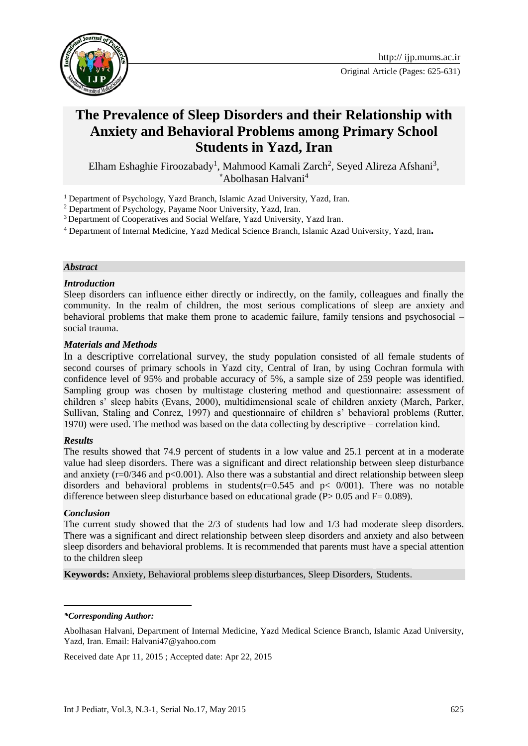

# **The Prevalence of Sleep Disorders and their Relationship with Anxiety and Behavioral Problems among Primary School Students in Yazd, Iran**

Elham Eshaghie Firoozabady<sup>1</sup>, Mahmood Kamali Zarch<sup>2</sup>, Seyed Alireza Afshani<sup>3</sup>, **\***Abolhasan Halvani<sup>4</sup>

<sup>1</sup> Department of Psychology, Yazd Branch, Islamic Azad University, Yazd, Iran.

<sup>2</sup> Department of Psychology, Payame Noor University, Yazd, Iran.

<sup>3</sup> Department of Cooperatives and Social Welfare, Yazd University, Yazd Iran.

<sup>4</sup> Department of Internal Medicine, Yazd Medical Science Branch, Islamic Azad University, Yazd, Iran**.**

#### *Abstract*

#### *Introduction*

Sleep disorders can influence either directly or indirectly, on the family, colleagues and finally the community. In the realm of children, the most serious complications of sleep are anxiety and behavioral problems that make them prone to academic failure, family tensions and psychosocial – social trauma.

#### *Materials and Methods*

In a descriptive correlational survey, the study population consisted of all female students of second courses of primary schools in Yazd city, Central of Iran, by using Cochran formula with confidence level of 95% and probable accuracy of 5%, a sample size of 259 people was identified. Sampling group was chosen by multistage clustering method and questionnaire: assessment of children s' sleep habits (Evans, 2000), multidimensional scale of children anxiety (March, Parker, Sullivan, Staling and Conrez, 1997) and questionnaire of children s' behavioral problems (Rutter, 1970) were used. The method was based on the data collecting by descriptive – correlation kind.

#### *Results*

The results showed that 74.9 percent of students in a low value and 25.1 percent at in a moderate value had sleep disorders. There was a significant and direct relationship between sleep disturbance and anxiety ( $r=0/346$  and  $p<0.001$ ). Also there was a substantial and direct relationship between sleep disorders and behavioral problems in students( $r=0.545$  and  $p<sub>0</sub>/001$ ). There was no notable difference between sleep disturbance based on educational grade ( $P > 0.05$  and  $F = 0.089$ ).

#### *Conclusion*

The current study showed that the 2/3 of students had low and 1/3 had moderate sleep disorders. There was a significant and direct relationship between sleep disorders and anxiety and also between sleep disorders and behavioral problems. It is recommended that parents must have a special attention to the children sleep

**Keywords:** Anxiety, Behavioral problems sleep disturbances, Sleep Disorders, Students.

 *\*Corresponding Author:*

Received date Apr 11, 2015 ; Accepted date: Apr 22, 2015

Abolhasan Halvani, Department of Internal Medicine, Yazd Medical Science Branch, Islamic Azad University, Yazd, Iran. Email: [Halvani47@yahoo.com](mailto:Halvani47@yahoo.com)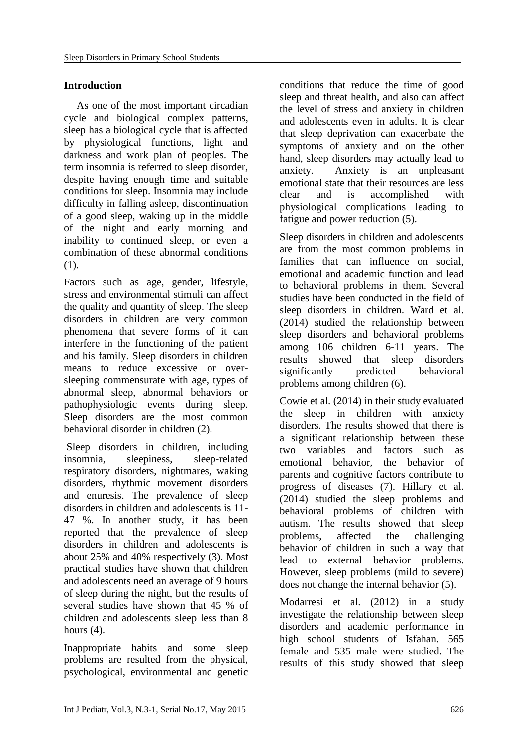# **Introduction**

As one of the most important circadian cycle and biological complex patterns, sleep has a biological cycle that is affected by physiological functions, light and darkness and work plan of peoples. The term insomnia is referred to sleep disorder, despite having enough time and suitable conditions for sleep. Insomnia may include difficulty in falling asleep, discontinuation of a good sleep, waking up in the middle of the night and early morning and inability to continued sleep, or even a combination of these abnormal conditions (1).

Factors such as age, gender, lifestyle, stress and environmental stimuli can affect the quality and quantity of sleep. The sleep disorders in children are very common phenomena that severe forms of it can interfere in the functioning of the patient and his family. Sleep disorders in children means to reduce excessive or oversleeping commensurate with age, types of abnormal sleep, abnormal behaviors or pathophysiologic events during sleep. Sleep disorders are the most common behavioral disorder in children (2).

Sleep disorders in children, including insomnia, sleepiness, sleep-related respiratory disorders, nightmares, waking disorders, rhythmic movement disorders and enuresis. The prevalence of sleep disorders in children and adolescents is 11- 47 %. In another study, it has been reported that the prevalence of sleep disorders in children and adolescents is about 25% and 40% respectively (3). Most practical studies have shown that children and adolescents need an average of 9 hours of sleep during the night, but the results of several studies have shown that 45 % of children and adolescents sleep less than 8 hours  $(4)$ .

Inappropriate habits and some sleep problems are resulted from the physical, psychological, environmental and genetic conditions that reduce the time of good sleep and threat health, and also can affect the level of stress and anxiety in children and adolescents even in adults. It is clear that sleep deprivation can exacerbate the symptoms of anxiety and on the other hand, sleep disorders may actually lead to anxiety. Anxiety is an unpleasant emotional state that their resources are less clear and is accomplished with physiological complications leading to fatigue and power reduction (5).

Sleep disorders in children and adolescents are from the most common problems in families that can influence on social, emotional and academic function and lead to behavioral problems in them. Several studies have been conducted in the field of sleep disorders in children. Ward et al. (2014) studied the relationship between sleep disorders and behavioral problems among 106 children 6-11 years. The results showed that sleep disorders significantly predicted behavioral problems among children (6).

Cowie et al. (2014) in their study evaluated the sleep in children with anxiety disorders. The results showed that there is a significant relationship between these two variables and factors such as emotional behavior, the behavior of parents and cognitive factors contribute to progress of diseases (7). Hillary et al. (2014) studied the sleep problems and behavioral problems of children with autism. The results showed that sleep problems, affected the challenging behavior of children in such a way that lead to external behavior problems. However, sleep problems (mild to severe) does not change the internal behavior (5).

Modarresi et al. (2012) in a study investigate the relationship between sleep disorders and academic performance in high school students of Isfahan. 565 female and 535 male were studied. The results of this study showed that sleep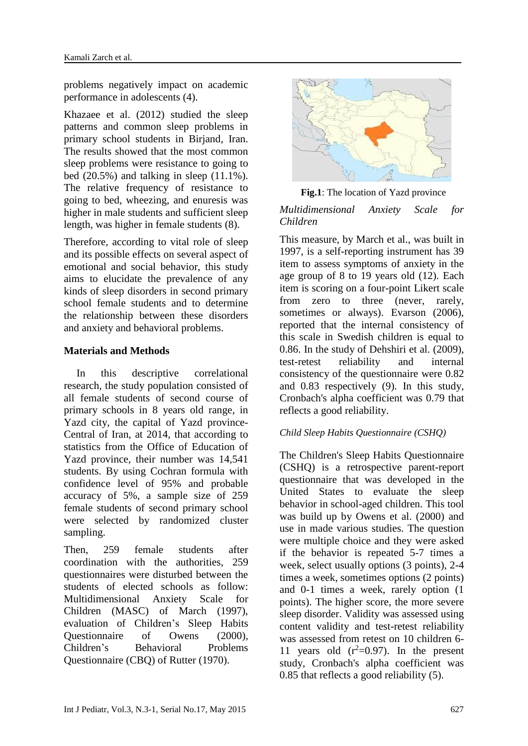problems negatively impact on academic performance in adolescents (4).

Khazaee et al. (2012) studied the sleep patterns and common sleep problems in primary school students in Birjand, Iran. The results showed that the most common sleep problems were resistance to going to bed  $(20.5\%)$  and talking in sleep  $(11.1\%)$ . The relative frequency of resistance to going to bed, wheezing, and enuresis was higher in male students and sufficient sleep length, was higher in female students (8).

Therefore, according to vital role of sleep and its possible effects on several aspect of emotional and social behavior, this study aims to elucidate the prevalence of any kinds of sleep disorders in second primary school female students and to determine the relationship between these disorders and anxiety and behavioral problems.

## **Materials and Methods**

In this descriptive correlational research, the study population consisted of all female students of second course of primary schools in 8 years old range, in Yazd city, the capital of Yazd province-Central of Iran, at 2014, that according to statistics from the Office of Education of Yazd province, their number was 14,541 students. By using Cochran formula with confidence level of 95% and probable accuracy of 5%, a sample size of 259 female students of second primary school were selected by randomized cluster sampling.

Then, 259 female students after coordination with the authorities, 259 questionnaires were disturbed between the students of elected schools as follow: Multidimensional Anxiety Scale for Children (MASC) of March (1997), evaluation of Children's Sleep Habits Questionnaire of Owens (2000), Children's Behavioral Problems Questionnaire (CBQ) of Rutter (1970).



 **Fig.1**: The location of Yazd province

## *Multidimensional Anxiety Scale for Children*

This measure, by March et al., was built in 1997, is a self-reporting instrument has 39 item to assess symptoms of anxiety in the age group of 8 to 19 years old (12). Each item is scoring on a four-point Likert scale from zero to three (never, rarely, sometimes or always). Evarson (2006), reported that the internal consistency of this scale in Swedish children is equal to 0.86. In the study of Dehshiri et al. (2009), test-retest reliability and internal consistency of the questionnaire were 0.82 and 0.83 respectively (9). In this study, Cronbach's alpha coefficient was 0.79 that reflects a good reliability.

# *Child Sleep Habits Questionnaire (CSHQ)*

The Children's Sleep Habits Questionnaire (CSHQ) is a retrospective parent-report questionnaire that was developed in the United States to evaluate the sleep behavior in school-aged children. This tool was build up by Owens et al. (2000) and use in made various studies. The question were multiple choice and they were asked if the behavior is repeated 5-7 times a week, select usually options (3 points), 2-4 times a week, sometimes options (2 points) and 0-1 times a week, rarely option (1 points). The higher score, the more severe sleep disorder. Validity was assessed using content validity and test-retest reliability was assessed from retest on 10 children 6- 11 years old  $(r^2=0.97)$ . In the present study, Cronbach's alpha coefficient was 0.85 that reflects a good reliability (5).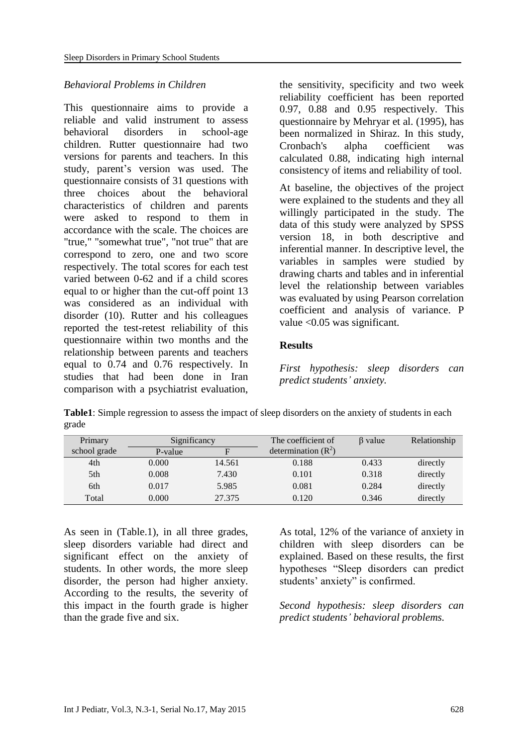#### *Behavioral Problems in Children*

This questionnaire aims to provide a reliable and valid instrument to assess behavioral disorders in school-age children. Rutter questionnaire had two versions for parents and teachers. In this study, parent's version was used. The questionnaire consists of 31 questions with three choices about the behavioral characteristics of children and parents were asked to respond to them in accordance with the scale. The choices are "true," "somewhat true", "not true" that are correspond to zero, one and two score respectively. The total scores for each test varied between 0-62 and if a child scores equal to or higher than the cut-off point 13 was considered as an individual with disorder (10). Rutter and his colleagues reported the test-retest reliability of this questionnaire within two months and the relationship between parents and teachers equal to 0.74 and 0.76 respectively. In studies that had been done in Iran comparison with a psychiatrist evaluation, the sensitivity, specificity and two week reliability coefficient has been reported 0.97, 0.88 and 0.95 respectively. This questionnaire by Mehryar et al. (1995), has been normalized in Shiraz. In this study, Cronbach's alpha coefficient was calculated 0.88, indicating high internal consistency of items and reliability of tool.

At baseline, the objectives of the project were explained to the students and they all willingly participated in the study. The data of this study were analyzed by SPSS version 18, in both descriptive and inferential manner. In descriptive level, the variables in samples were studied by drawing charts and tables and in inferential level the relationship between variables was evaluated by using Pearson correlation coefficient and analysis of variance. P value <0.05 was significant.

## **Results**

*First hypothesis: sleep disorders can predict students' anxiety.*

**Table1**: Simple regression to assess the impact of sleep disorders on the anxiety of students in each grade

| Primary      | Significancy |        | The coefficient of    | $\beta$ value | Relationship |
|--------------|--------------|--------|-----------------------|---------------|--------------|
| school grade | P-value      | F      | determination $(R^2)$ |               |              |
| 4th          | 0.000        | 14.561 | 0.188                 | 0.433         | directly     |
| 5th          | 0.008        | 7.430  | 0.101                 | 0.318         | directly     |
| 6th          | 0.017        | 5.985  | 0.081                 | 0.284         | directly     |
| Total        | 0.000        | 27.375 | 0.120                 | 0.346         | directly     |

As seen in (Table.1), in all three grades, sleep disorders variable had direct and significant effect on the anxiety of students. In other words, the more sleep disorder, the person had higher anxiety. According to the results, the severity of this impact in the fourth grade is higher than the grade five and six.

As total, 12% of the variance of anxiety in children with sleep disorders can be explained. Based on these results, the first hypotheses "Sleep disorders can predict students' anxiety" is confirmed.

*Second hypothesis: sleep disorders can predict students' behavioral problems.*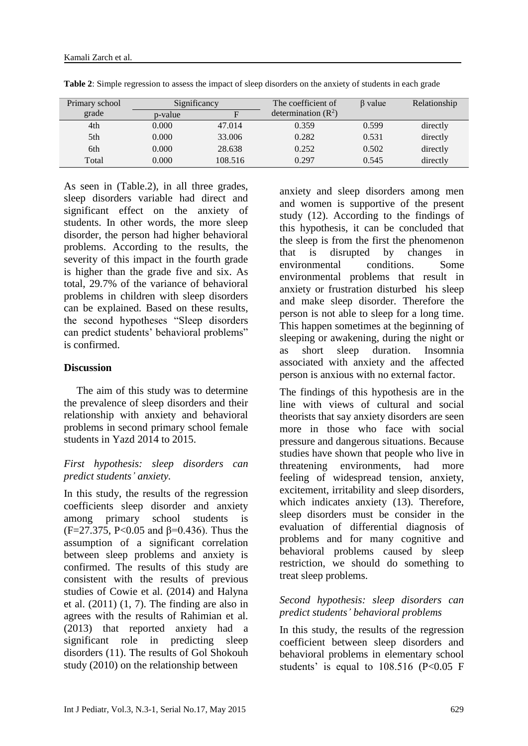| Primary school | Significancy |         | The coefficient of    | B value | Relationship |
|----------------|--------------|---------|-----------------------|---------|--------------|
| grade          | p-value      | F       | determination $(R^2)$ |         |              |
| 4th            | 0.000        | 47.014  | 0.359                 | 0.599   | directly     |
| 5th            | 0.000        | 33.006  | 0.282                 | 0.531   | directly     |
| 6th            | 0.000        | 28.638  | 0.252                 | 0.502   | directly     |
| Total          | 0.000        | 108.516 | 0.297                 | 0.545   | directly     |

**Table 2**: Simple regression to assess the impact of sleep disorders on the anxiety of students in each grade

As seen in (Table.2), in all three grades, sleep disorders variable had direct and significant effect on the anxiety of students. In other words, the more sleep disorder, the person had higher behavioral problems. According to the results, the severity of this impact in the fourth grade is higher than the grade five and six. As total, 29.7% of the variance of behavioral problems in children with sleep disorders can be explained. Based on these results, the second hypotheses "Sleep disorders can predict students' behavioral problems" is confirmed.

#### **Discussion**

The aim of this study was to determine the prevalence of sleep disorders and their relationship with anxiety and behavioral problems in second primary school female students in Yazd 2014 to 2015.

## *First hypothesis: sleep disorders can predict students' anxiety.*

In this study, the results of the regression coefficients sleep disorder and anxiety among primary school students is (F=27.375, P<0.05 and β=0.436). Thus the assumption of a significant correlation between sleep problems and anxiety is confirmed. The results of this study are consistent with the results of previous studies of Cowie et al. (2014) and Halyna et al.  $(2011)$   $(1, 7)$ . The finding are also in agrees with the results of Rahimian et al. (2013) that reported anxiety had a significant role in predicting sleep disorders (11). The results of Gol Shokouh study (2010) on the relationship between

anxiety and sleep disorders among men and women is supportive of the present study (12). According to the findings of this hypothesis, it can be concluded that the sleep is from the first the phenomenon that is disrupted by changes in environmental conditions. Some environmental problems that result in anxiety or frustration disturbed his sleep and make sleep disorder. Therefore the person is not able to sleep for a long time. This happen sometimes at the beginning of sleeping or awakening, during the night or as short sleep duration. Insomnia associated with anxiety and the affected person is anxious with no external factor.

The findings of this hypothesis are in the line with views of cultural and social theorists that say anxiety disorders are seen more in those who face with social pressure and dangerous situations. Because studies have shown that people who live in threatening environments, had more feeling of widespread tension, anxiety, excitement, irritability and sleep disorders, which indicates anxiety (13). Therefore, sleep disorders must be consider in the evaluation of differential diagnosis of problems and for many cognitive and behavioral problems caused by sleep restriction, we should do something to treat sleep problems.

## *Second hypothesis: sleep disorders can predict students' behavioral problems*

In this study, the results of the regression coefficient between sleep disorders and behavioral problems in elementary school students' is equal to  $108.516$  (P<0.05 F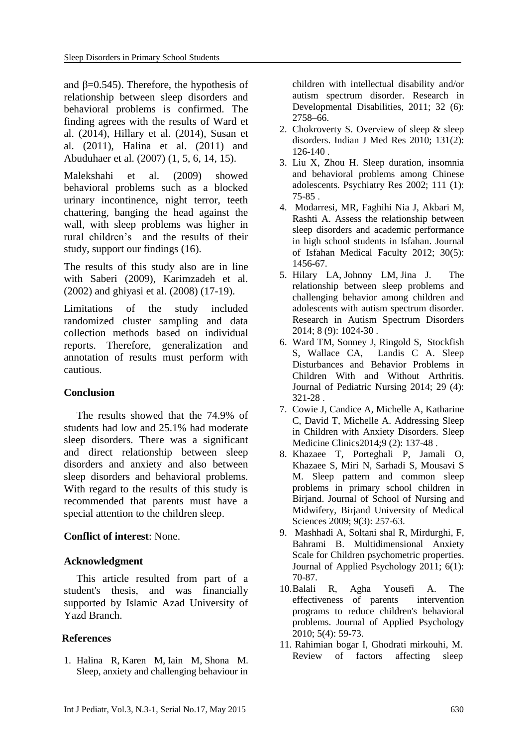and  $\beta$ =0.545). Therefore, the hypothesis of relationship between sleep disorders and behavioral problems is confirmed. The finding agrees with the results of Ward et al. (2014), Hillary et al. (2014), Susan et al. (2011), Halina et al. (2011) and Abuduhaer et al. (2007) (1, 5, 6, 14, 15).

Malekshahi et al. (2009) showed behavioral problems such as a blocked urinary incontinence, night terror, teeth chattering, banging the head against the wall, with sleep problems was higher in rural children's and the results of their study, support our findings (16).

The results of this study also are in line with Saberi (2009), Karimzadeh et al. (2002) and ghiyasi et al. (2008) (17-19).

Limitations of the study included randomized cluster sampling and data collection methods based on individual reports. Therefore, generalization and annotation of results must perform with cautious.

#### **Conclusion**

The results showed that the 74.9% of students had low and 25.1% had moderate sleep disorders. There was a significant and direct relationship between sleep disorders and anxiety and also between sleep disorders and behavioral problems. With regard to the results of this study is recommended that parents must have a special attention to the children sleep.

#### **Conflict of interest**: None.

#### **Acknowledgment**

This article resulted from part of a student's thesis, and was financially supported by Islamic Azad University of Yazd Branch.

#### **References**

1. [Halina R,](http://www.sciencedirect.com/science/article/pii/S0891422211002204) [Karen M,](http://www.sciencedirect.com/science/article/pii/S0891422211002204) [Iain M,](http://www.sciencedirect.com/science/article/pii/S0891422211002204) Shona M. Sleep, anxiety and challenging behaviour in

children with intellectual disability and/or autism spectrum disorder. [Research in](http://www.sciencedirect.com/science/journal/08914222)  [Developmental Disabilities,](http://www.sciencedirect.com/science/journal/08914222) 2011; [32 \(6\)](http://www.sciencedirect.com/science/journal/08914222/32/6): 2758–66.

- 2. Chokroverty S. Overview of sleep & sleep disorders. Indian J Med Res 2010; 131(2): 126-140 .
- 3. Liu X, Zhou H. Sleep duration, insomnia and behavioral problems among Chinese adolescents. Psychiatry Res 2002; 111 (1): 75-85 .
- 4. Modarresi, MR, Faghihi Nia J, Akbari M, Rashti A. Assess the relationship between sleep disorders and academic performance in high school students in Isfahan. Journal of Isfahan Medical Faculty 2012; 30(5): 1456-67.
- 5. [Hilary LA,](http://www.sciencedirect.com/science/article/pii/S1750946714001184) [Johnny LM,](http://www.sciencedirect.com/science/article/pii/S1750946714001184) [Jina](http://www.sciencedirect.com/science/article/pii/S1750946714001184) J. The relationship between sleep problems and challenging behavior among children and adolescents with autism spectrum disorder. [Research in Autism Spectrum Disorders](http://www.sciencedirect.com/science/journal/17509467) 2014; 8 (9): 1024-30 .
- 6. [Ward](http://www.sciencedirect.com/science/article/pii/S0882596314000815) TM, [Sonney](http://www.sciencedirect.com/science/article/pii/S0882596314000815) J, [Ringold](http://www.sciencedirect.com/science/article/pii/S0882596314000815) S, [Stockfish](http://www.sciencedirect.com/science/article/pii/S0882596314000815) S, [Wallace](http://www.sciencedirect.com/science/article/pii/S0882596314000815) CA, [Landis](http://www.sciencedirect.com/science/article/pii/S0882596314000815) C A. Sleep Disturbances and Behavior Problems in Children With and Without Arthritis. [Journal of Pediatric Nursing](http://www.sciencedirect.com/science/journal/08825963) 2014; 29 (4): 321-28 .
- 7. [Cowie](http://www.sciencedirect.com/science/article/pii/S1556407X14000149) J, Candice A, Michelle A, Katharine C, David T, Michelle A. Addressing Sleep in Children with Anxiety Disorders. [Sleep](http://www.sciencedirect.com/science/journal/1556407X)  [Medicine Clinics2](http://www.sciencedirect.com/science/journal/1556407X)014;9 (2): 137-48 .
- 8. Khazaee T, Porteghali P, Jamali O, Khazaee S, Miri N, Sarhadi S, Mousavi S M. Sleep pattern and common sleep problems in primary school children in Birjand. Journal of School of Nursing and Midwifery, Birjand University of Medical Sciences 2009; 9(3): 257-63.
- 9. Mashhadi A, Soltani shal R, Mirdurghi, F, Bahrami B. Multidimensional Anxiety Scale for Children psychometric properties. Journal of Applied Psychology 2011; 6(1): 70-87.
- 10.Balali R, Agha Yousefi A. The effectiveness of parents intervention programs to reduce children's behavioral problems. Journal of Applied Psychology 2010; 5(4): 59-73.
- 11. Rahimian bogar I, Ghodrati mirkouhi, M. Review of factors affecting sleep